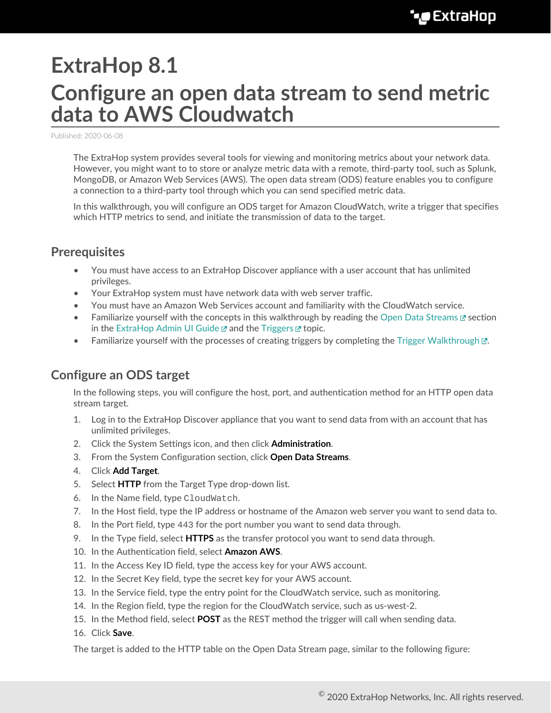# **ExtraHop 8.1 Configure an open data stream to send metric data to AWS Cloudwatch**

Published: 2020-06-08

The ExtraHop system provides several tools for viewing and monitoring metrics about your network data. However, you might want to to store or analyze metric data with a remote, third-party tool, such as Splunk, MongoDB, or Amazon Web Services (AWS). The open data stream (ODS) feature enables you to configure a connection to a third-party tool through which you can send specified metric data.

In this walkthrough, you will configure an ODS target for Amazon CloudWatch, write a trigger that specifies which HTTP metrics to send, and initiate the transmission of data to the target.

#### **Prerequisites**

- You must have access to an ExtraHop Discover appliance with a user account that has unlimited privileges.
- Your ExtraHop system must have network data with web server traffic.
- You must have an Amazon Web Services account and familiarity with the CloudWatch service.
- Familiarize yourself with the concepts in this walkthrough by reading the [Open Data Streams](https://docs.extrahop.com/8.1/eh-admin-ui-guide/#open-data-streams) E's section in the [ExtraHop Admin UI Guide](https://docs.extrahop.com/8.1/eh-admin-ui-guide/)  $\mathbb Z$  and the [Triggers](https://docs.extrahop.com/8.1/triggers-overview)  $\mathbb Z$  topic.
- Familiarize yourself with the processes of creating triggers by completing the Trigger Walkthrough  $\mathbb{Z}$ .

#### **Configure an ODS target**

In the following steps, you will configure the host, port, and authentication method for an HTTP open data stream target.

- 1. Log in to the ExtraHop Discover appliance that you want to send data from with an account that has unlimited privileges.
- 2. Click the System Settings icon, and then click **Administration**.
- 3. From the System Configuration section, click **Open Data Streams**.
- 4. Click **Add Target**.
- 5. Select **HTTP** from the Target Type drop-down list.
- 6. In the Name field, type CloudWatch.
- 7. In the Host field, type the IP address or hostname of the Amazon web server you want to send data to.
- 8. In the Port field, type 443 for the port number you want to send data through.
- 9. In the Type field, select **HTTPS** as the transfer protocol you want to send data through.
- 10. In the Authentication field, select **Amazon AWS**.
- 11. In the Access Key ID field, type the access key for your AWS account.
- 12. In the Secret Key field, type the secret key for your AWS account.
- 13. In the Service field, type the entry point for the CloudWatch service, such as monitoring.
- 14. In the Region field, type the region for the CloudWatch service, such as us-west-2.
- 15. In the Method field, select **POST** as the REST method the trigger will call when sending data.
- 16. Click **Save**.

The target is added to the HTTP table on the Open Data Stream page, similar to the following figure: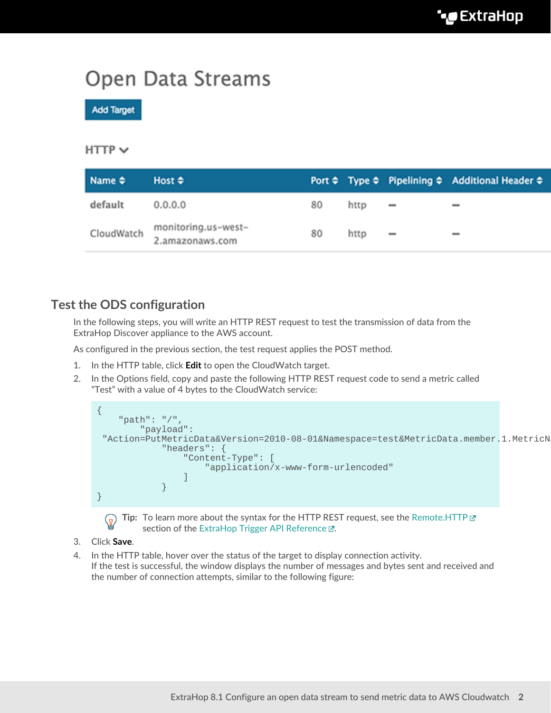## Open Data Streams

**Add Target** 

#### $HTTP \vee$

| $Name \Leftrightarrow$ | Host $\div$                            |    |      |                              | Port $\Leftrightarrow$ Type $\Leftrightarrow$ Pipelining $\Leftrightarrow$ Additional Header $\Leftrightarrow$ |
|------------------------|----------------------------------------|----|------|------------------------------|----------------------------------------------------------------------------------------------------------------|
| default                | 0.0.0.0                                | 80 | http | $\overline{\phantom{a}}$     |                                                                                                                |
| CloudWatch             | monitoring.us-west-<br>2.amazonaws.com | 80 | http | $\qquad \qquad \blacksquare$ | $\overline{\phantom{a}}$                                                                                       |

#### **Test the ODS configuration**

In the following steps, you will write an HTTP REST request to test the transmission of data from the ExtraHop Discover appliance to the AWS account.

As configured in the previous section, the test request applies the POST method.

- 1. In the HTTP table, click **Edit** to open the CloudWatch target.
- 2. In the Options field, copy and paste the following HTTP REST request code to send a metric called "Test" with a value of 4 bytes to the CloudWatch service:





**Tip:** To learn more about the syntax for the HTTP REST request, see the [Remote.HTTP](https://docs.extrahop.com/8.1/extrahop-trigger-api/#remote.http)  section of the [ExtraHop Trigger API Reference .](https://docs.extrahop.com/8.1/extrahop-trigger-api/)..

- 3. Click **Save**.
- 4. In the HTTP table, hover over the status of the target to display connection activity. If the test is successful, the window displays the number of messages and bytes sent and received and the number of connection attempts, similar to the following figure: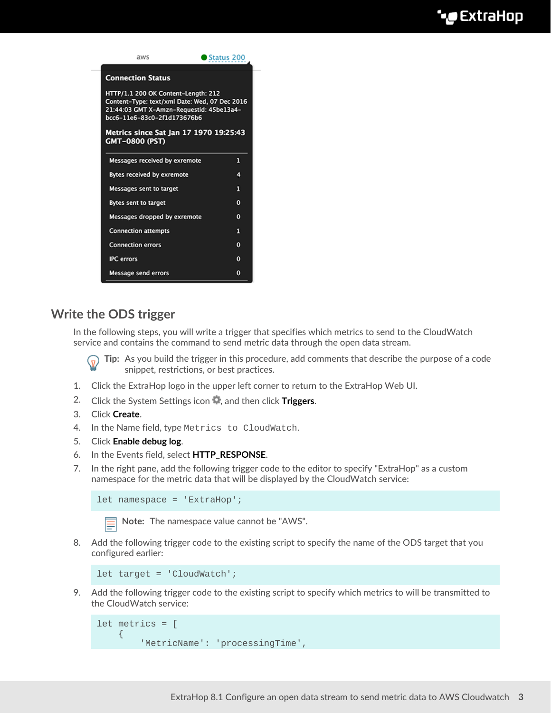

### **Write the ODS trigger**

In the following steps, you will write a trigger that specifies which metrics to send to the CloudWatch service and contains the command to send metric data through the open data stream.

**Tip:** As you build the trigger in this procedure, add comments that describe the purpose of a code  $\mathcal{L}$ snippet, restrictions, or best practices.

- 1. Click the ExtraHop logo in the upper left corner to return to the ExtraHop Web UI.
- 2. Click the System Settings icon **4**, and then click **Triggers**.
- 3. Click **Create**.
- 4. In the Name field, type Metrics to CloudWatch.
- 5. Click **Enable debug log**.
- 6. In the Events field, select **HTTP\_RESPONSE**.
- 7. In the right pane, add the following trigger code to the editor to specify "ExtraHop" as a custom namespace for the metric data that will be displayed by the CloudWatch service:

let namespace = 'ExtraHop';

**Note:** The namespace value cannot be "AWS".

8. Add the following trigger code to the existing script to specify the name of the ODS target that you configured earlier:

```
let target = 'CloudWatch';
```
9. Add the following trigger code to the existing script to specify which metrics to will be transmitted to the CloudWatch service:

```
let metrics = [
     \left\{ \right. 'MetricName': 'processingTime',
```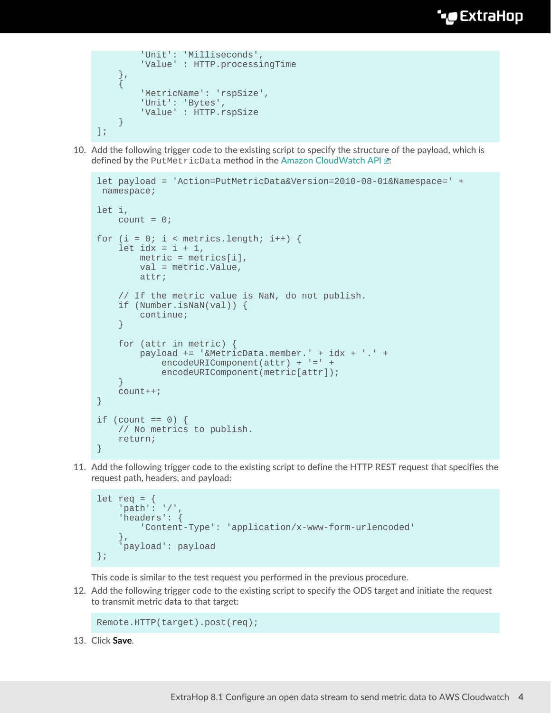```
 'Unit': 'Milliseconds',
            'Value' : HTTP.processingTime
      },
\left\{\begin{array}{c} \end{array}\right\} 'MetricName': 'rspSize',
           'Unit': 'Bytes',
           'Value' : HTTP.rspSize
      }
];
```
10. Add the following trigger code to the existing script to specify the structure of the payload, which is defined by the PutMetricData method in the Amazon CloudWatch API E:

```
let payload = 'Action=PutMetricData&Version=2010-08-01&Namespace=' +
 namespace;
let i,
  count = 0;for (i = 0; i < metrics.length; i++) {
   let idx = i + 1,
        metric = metrics[i],
        val = metric.Value,
        attr;
     // If the metric value is NaN, do not publish.
     if (Number.isNaN(val)) {
        continue;
     }
     for (attr in metric) {
        payload += '&MetricData.member.' + idx + '.' +
            encodeURIComponent(attr) + '=' +
            encodeURIComponent(metric[attr]);
     }
     count++;
}
if (count == 0) {
    // No metrics to publish.
    return;
}
```
11. Add the following trigger code to the existing script to define the HTTP REST request that specifies the request path, headers, and payload:

```
let req = { 'path': '/',
     'headers': {
         'Content-Type': 'application/x-www-form-urlencoded'
     },
     'payload': payload
};
```
This code is similar to the test request you performed in the previous procedure.

12. Add the following trigger code to the existing script to specify the ODS target and initiate the request to transmit metric data to that target:

```
Remote.HTTP(target).post(req);
```
13. Click **Save**.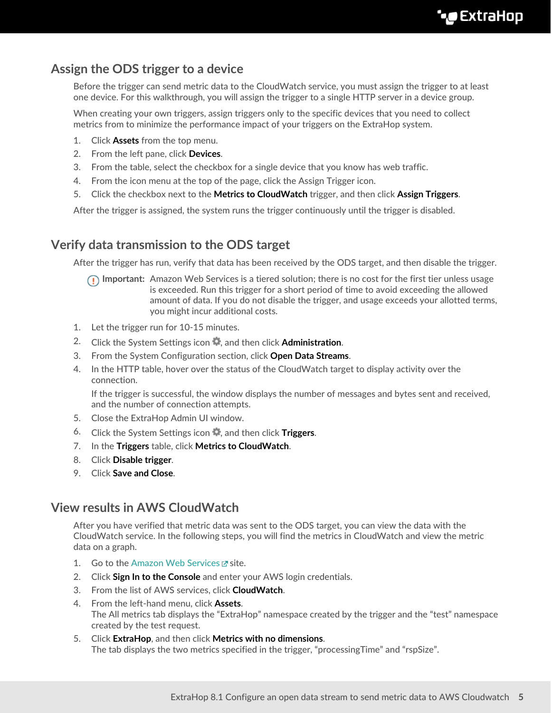#### **Assign the ODS trigger to a device**

Before the trigger can send metric data to the CloudWatch service, you must assign the trigger to at least one device. For this walkthrough, you will assign the trigger to a single HTTP server in a device group.

When creating your own triggers, assign triggers only to the specific devices that you need to collect metrics from to minimize the performance impact of your triggers on the ExtraHop system.

- 1. Click **Assets** from the top menu.
- 2. From the left pane, click **Devices**.
- 3. From the table, select the checkbox for a single device that you know has web traffic.
- 4. From the icon menu at the top of the page, click the Assign Trigger icon.
- 5. Click the checkbox next to the **Metrics to CloudWatch** trigger, and then click **Assign Triggers**.

After the trigger is assigned, the system runs the trigger continuously until the trigger is disabled.

#### **Verify data transmission to the ODS target**

After the trigger has run, verify that data has been received by the ODS target, and then disable the trigger.

- **Important:** Amazon Web Services is a tiered solution; there is no cost for the first tier unless usage is exceeded. Run this trigger for a short period of time to avoid exceeding the allowed amount of data. If you do not disable the trigger, and usage exceeds your allotted terms, you might incur additional costs.
- 1. Let the trigger run for 10-15 minutes.
- 2. Click the System Settings icon **4**, and then click **Administration**.
- 3. From the System Configuration section, click **Open Data Streams**.
- 4. In the HTTP table, hover over the status of the CloudWatch target to display activity over the connection.

If the trigger is successful, the window displays the number of messages and bytes sent and received, and the number of connection attempts.

- 5. Close the ExtraHop Admin UI window.
- 6. Click the System Settings icon , and then click **Triggers**.
- 7. In the **Triggers** table, click **Metrics to CloudWatch**.
- 8. Click **Disable trigger**.
- 9. Click **Save and Close**.

#### **View results in AWS CloudWatch**

After you have verified that metric data was sent to the ODS target, you can view the data with the CloudWatch service. In the following steps, you will find the metrics in CloudWatch and view the metric data on a graph.

- 1. Go to the [Amazon Web Services](https://aws.amazon.com/) E site.
- 2. Click **Sign In to the Console** and enter your AWS login credentials.
- 3. From the list of AWS services, click **CloudWatch**.
- 4. From the left-hand menu, click **Assets**. The All metrics tab displays the "ExtraHop" namespace created by the trigger and the "test" namespace created by the test request.
- 5. Click **ExtraHop**, and then click **Metrics with no dimensions**. The tab displays the two metrics specified in the trigger, "processingTime" and "rspSize".